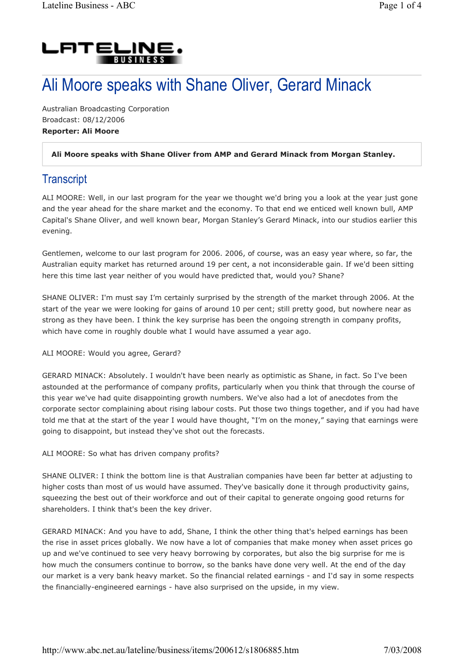

# Ali Moore speaks with Shane Oliver, Gerard Minack

Australian Broadcasting Corporation Broadcast: 08/12/2006 Reporter: Ali Moore

#### Ali Moore speaks with Shane Oliver from AMP and Gerard Minack from Morgan Stanley.

## **Transcript**

ALI MOORE: Well, in our last program for the year we thought we'd bring you a look at the year just gone and the year ahead for the share market and the economy. To that end we enticed well known bull, AMP Capital's Shane Oliver, and well known bear, Morgan Stanley's Gerard Minack, into our studios earlier this evening.

Gentlemen, welcome to our last program for 2006. 2006, of course, was an easy year where, so far, the Australian equity market has returned around 19 per cent, a not inconsiderable gain. If we'd been sitting here this time last year neither of you would have predicted that, would you? Shane?

SHANE OLIVER: I'm must say I'm certainly surprised by the strength of the market through 2006. At the start of the year we were looking for gains of around 10 per cent; still pretty good, but nowhere near as strong as they have been. I think the key surprise has been the ongoing strength in company profits, which have come in roughly double what I would have assumed a year ago.

ALI MOORE: Would you agree, Gerard?

GERARD MINACK: Absolutely. I wouldn't have been nearly as optimistic as Shane, in fact. So I've been astounded at the performance of company profits, particularly when you think that through the course of this year we've had quite disappointing growth numbers. We've also had a lot of anecdotes from the corporate sector complaining about rising labour costs. Put those two things together, and if you had have told me that at the start of the year I would have thought, "I'm on the money," saying that earnings were going to disappoint, but instead they've shot out the forecasts.

ALI MOORE: So what has driven company profits?

SHANE OLIVER: I think the bottom line is that Australian companies have been far better at adjusting to higher costs than most of us would have assumed. They've basically done it through productivity gains, squeezing the best out of their workforce and out of their capital to generate ongoing good returns for shareholders. I think that's been the key driver.

GERARD MINACK: And you have to add, Shane, I think the other thing that's helped earnings has been the rise in asset prices globally. We now have a lot of companies that make money when asset prices go up and we've continued to see very heavy borrowing by corporates, but also the big surprise for me is how much the consumers continue to borrow, so the banks have done very well. At the end of the day our market is a very bank heavy market. So the financial related earnings - and I'd say in some respects the financially-engineered earnings - have also surprised on the upside, in my view.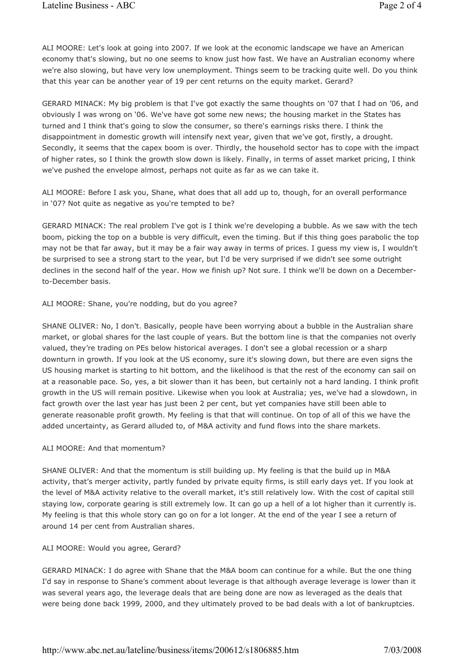ALI MOORE: Let's look at going into 2007. If we look at the economic landscape we have an American economy that's slowing, but no one seems to know just how fast. We have an Australian economy where we're also slowing, but have very low unemployment. Things seem to be tracking quite well. Do you think that this year can be another year of 19 per cent returns on the equity market. Gerard?

GERARD MINACK: My big problem is that I've got exactly the same thoughts on '07 that I had on '06, and obviously I was wrong on '06. We've have got some new news; the housing market in the States has turned and I think that's going to slow the consumer, so there's earnings risks there. I think the disappointment in domestic growth will intensify next year, given that we've got, firstly, a drought. Secondly, it seems that the capex boom is over. Thirdly, the household sector has to cope with the impact of higher rates, so I think the growth slow down is likely. Finally, in terms of asset market pricing, I think we've pushed the envelope almost, perhaps not quite as far as we can take it.

ALI MOORE: Before I ask you, Shane, what does that all add up to, though, for an overall performance in '07? Not quite as negative as you're tempted to be?

GERARD MINACK: The real problem I've got is I think we're developing a bubble. As we saw with the tech boom, picking the top on a bubble is very difficult, even the timing. But if this thing goes parabolic the top may not be that far away, but it may be a fair way away in terms of prices. I guess my view is, I wouldn't be surprised to see a strong start to the year, but I'd be very surprised if we didn't see some outright declines in the second half of the year. How we finish up? Not sure. I think we'll be down on a Decemberto-December basis.

ALI MOORE: Shane, you're nodding, but do you agree?

SHANE OLIVER: No, I don't. Basically, people have been worrying about a bubble in the Australian share market, or global shares for the last couple of years. But the bottom line is that the companies not overly valued, they're trading on PEs below historical averages. I don't see a global recession or a sharp downturn in growth. If you look at the US economy, sure it's slowing down, but there are even signs the US housing market is starting to hit bottom, and the likelihood is that the rest of the economy can sail on at a reasonable pace. So, yes, a bit slower than it has been, but certainly not a hard landing. I think profit growth in the US will remain positive. Likewise when you look at Australia; yes, we've had a slowdown, in fact growth over the last year has just been 2 per cent, but yet companies have still been able to generate reasonable profit growth. My feeling is that that will continue. On top of all of this we have the added uncertainty, as Gerard alluded to, of M&A activity and fund flows into the share markets.

#### ALI MOORE: And that momentum?

SHANE OLIVER: And that the momentum is still building up. My feeling is that the build up in M&A activity, that's merger activity, partly funded by private equity firms, is still early days yet. If you look at the level of M&A activity relative to the overall market, it's still relatively low. With the cost of capital still staying low, corporate gearing is still extremely low. It can go up a hell of a lot higher than it currently is. My feeling is that this whole story can go on for a lot longer. At the end of the year I see a return of around 14 per cent from Australian shares.

#### ALI MOORE: Would you agree, Gerard?

GERARD MINACK: I do agree with Shane that the M&A boom can continue for a while. But the one thing I'd say in response to Shane's comment about leverage is that although average leverage is lower than it was several years ago, the leverage deals that are being done are now as leveraged as the deals that were being done back 1999, 2000, and they ultimately proved to be bad deals with a lot of bankruptcies.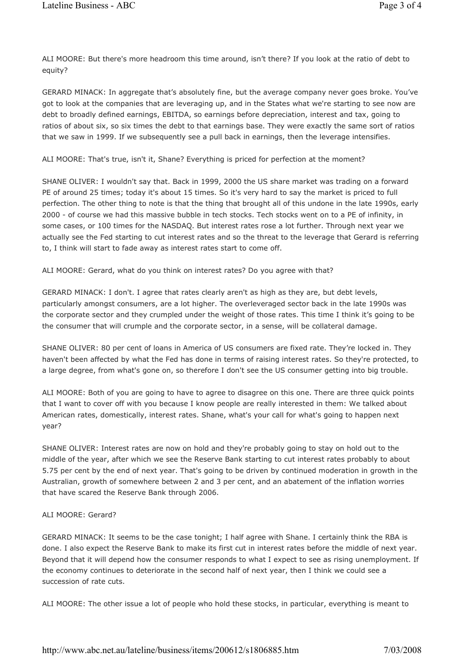ALI MOORE: But there's more headroom this time around, isn't there? If you look at the ratio of debt to equity?

GERARD MINACK: In aggregate that's absolutely fine, but the average company never goes broke. You've got to look at the companies that are leveraging up, and in the States what we're starting to see now are debt to broadly defined earnings, EBITDA, so earnings before depreciation, interest and tax, going to ratios of about six, so six times the debt to that earnings base. They were exactly the same sort of ratios that we saw in 1999. If we subsequently see a pull back in earnings, then the leverage intensifies.

ALI MOORE: That's true, isn't it, Shane? Everything is priced for perfection at the moment?

SHANE OLIVER: I wouldn't say that. Back in 1999, 2000 the US share market was trading on a forward PE of around 25 times; today it's about 15 times. So it's very hard to say the market is priced to full perfection. The other thing to note is that the thing that brought all of this undone in the late 1990s, early 2000 - of course we had this massive bubble in tech stocks. Tech stocks went on to a PE of infinity, in some cases, or 100 times for the NASDAQ. But interest rates rose a lot further. Through next year we actually see the Fed starting to cut interest rates and so the threat to the leverage that Gerard is referring to, I think will start to fade away as interest rates start to come off.

ALI MOORE: Gerard, what do you think on interest rates? Do you agree with that?

GERARD MINACK: I don't. I agree that rates clearly aren't as high as they are, but debt levels, particularly amongst consumers, are a lot higher. The overleveraged sector back in the late 1990s was the corporate sector and they crumpled under the weight of those rates. This time I think it's going to be the consumer that will crumple and the corporate sector, in a sense, will be collateral damage.

SHANE OLIVER: 80 per cent of loans in America of US consumers are fixed rate. They're locked in. They haven't been affected by what the Fed has done in terms of raising interest rates. So they're protected, to a large degree, from what's gone on, so therefore I don't see the US consumer getting into big trouble.

ALI MOORE: Both of you are going to have to agree to disagree on this one. There are three quick points that I want to cover off with you because I know people are really interested in them: We talked about American rates, domestically, interest rates. Shane, what's your call for what's going to happen next year?

SHANE OLIVER: Interest rates are now on hold and they're probably going to stay on hold out to the middle of the year, after which we see the Reserve Bank starting to cut interest rates probably to about 5.75 per cent by the end of next year. That's going to be driven by continued moderation in growth in the Australian, growth of somewhere between 2 and 3 per cent, and an abatement of the inflation worries that have scared the Reserve Bank through 2006.

#### ALI MOORE: Gerard?

GERARD MINACK: It seems to be the case tonight; I half agree with Shane. I certainly think the RBA is done. I also expect the Reserve Bank to make its first cut in interest rates before the middle of next year. Beyond that it will depend how the consumer responds to what I expect to see as rising unemployment. If the economy continues to deteriorate in the second half of next year, then I think we could see a succession of rate cuts.

ALI MOORE: The other issue a lot of people who hold these stocks, in particular, everything is meant to